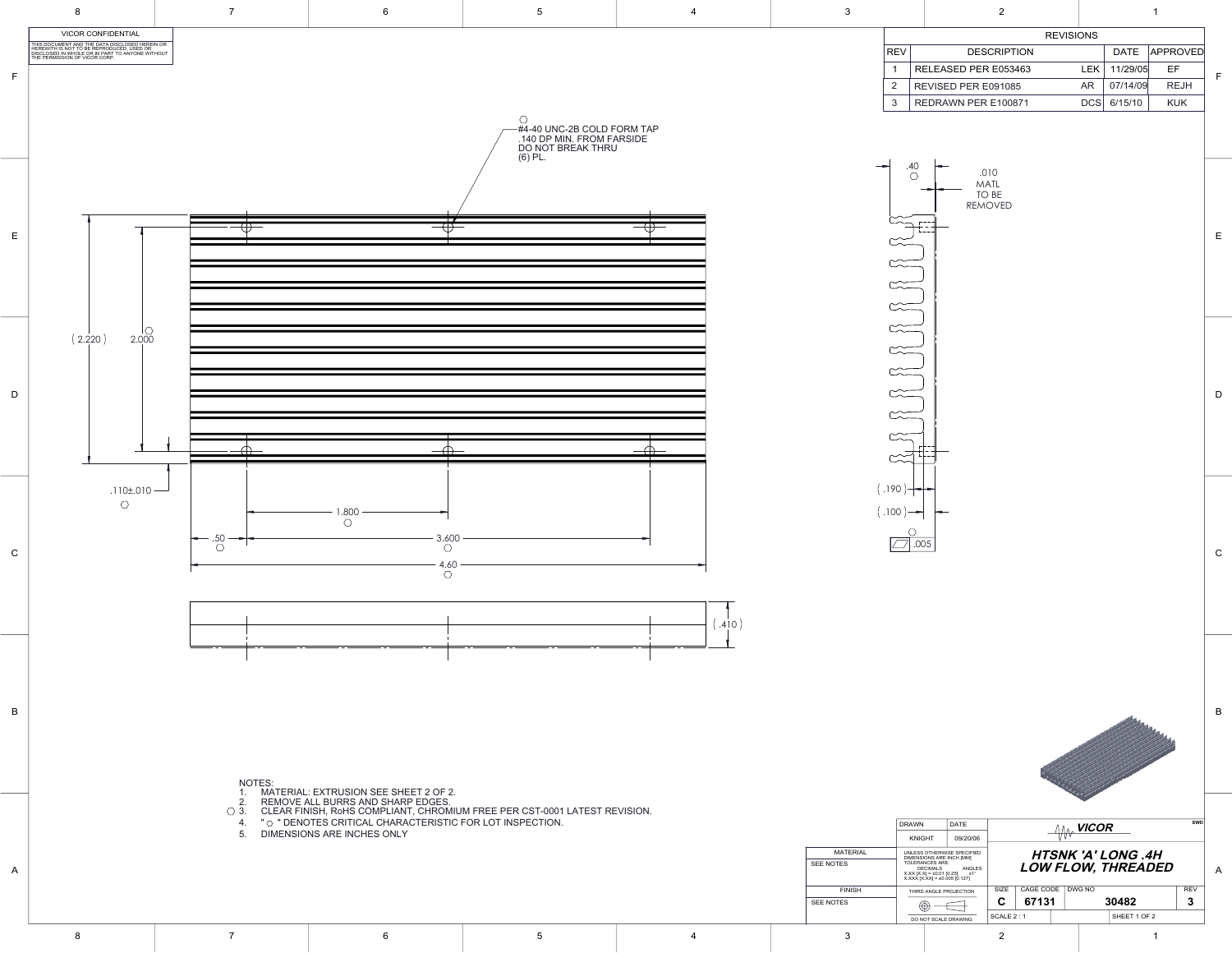

 $(.410)$ 





8

|            | <b>REVISIONS</b>     |          |          |                 |
|------------|----------------------|----------|----------|-----------------|
| <b>REV</b> | <b>DESCRIPTION</b>   |          |          | DATE   APPROVED |
|            | RELEASED PER E053463 | $E(K^+)$ | 11/29/05 | EF              |

|                                                                                                 | <b>DRAWN</b>                                           | <b>DATE</b>                                         | <b>VICOR</b> |           |  | SWD    |                           |            |  |
|-------------------------------------------------------------------------------------------------|--------------------------------------------------------|-----------------------------------------------------|--------------|-----------|--|--------|---------------------------|------------|--|
|                                                                                                 | <b>KNIGHT</b>                                          | 09/20/06                                            |              |           |  |        |                           |            |  |
| <b>MATERIAL</b>                                                                                 | UNLESS OTHERWISE SPECIFIED<br>DIMENSIONS ARE INCH [MM] |                                                     |              |           |  |        | <b>HTSNK 'A' LONG .4H</b> |            |  |
| <b>SEE NOTES</b><br><b>TOLERANCES ARE:</b><br><b>DECIMALS</b><br>$X.XX [X.X] = \pm 0.01 [0.25]$ |                                                        | ANGLES<br>±1°<br>$X.XXX [X.XX] = \pm 0.005 [0.127]$ |              |           |  |        | LOW FLOW, THREADED        |            |  |
| <b>FINISH</b>                                                                                   | THIRD ANGLE PROJECTION                                 |                                                     | <b>SIZE</b>  | CAGE CODE |  | DWG NO |                           | <b>REV</b> |  |
| <b>SEE NOTES</b>                                                                                | ⊕<br>DO NOT SCALE DRAWING                              |                                                     | С            | 67131     |  | 30482  |                           | 3          |  |
|                                                                                                 |                                                        |                                                     | SCALE 2:1    |           |  |        | SHEET 1 OF 2              |            |  |
| っ                                                                                               |                                                        |                                                     |              |           |  |        |                           |            |  |

2 REVISED PER E091085 AR 07/14/09 REJH

3 | REDRAWN PER E100871 DCS | 6/15/10 | KUK